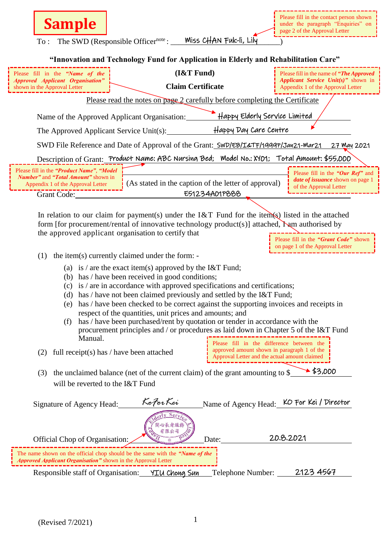To : The SWD (Responsible Officernote : \_\_\_\_\_\_\_\_\_\_\_\_\_\_\_\_\_\_\_\_\_\_\_\_\_\_\_\_) Miss CHAN Fuk-li, Lily

|  |  |  | "Innovation and Technology Fund for Application in Elderly and Rehabilitation Care" |  |
|--|--|--|-------------------------------------------------------------------------------------|--|
|  |  |  |                                                                                     |  |

| "Innovation and Technology Fund for Application in Elderly and Rehabilitation Care"                                                                                                                                                                                                                                                                                                                                                                                                                                                                                                                                       |                                                      |                                                                                                                                           |  |  |  |  |  |  |
|---------------------------------------------------------------------------------------------------------------------------------------------------------------------------------------------------------------------------------------------------------------------------------------------------------------------------------------------------------------------------------------------------------------------------------------------------------------------------------------------------------------------------------------------------------------------------------------------------------------------------|------------------------------------------------------|-------------------------------------------------------------------------------------------------------------------------------------------|--|--|--|--|--|--|
| Please fill in the "Name of the<br><b>Approved Applicant Organisation"</b><br>shown in the Approval Letter                                                                                                                                                                                                                                                                                                                                                                                                                                                                                                                | (I&T Fund)<br><b>Claim Certificate</b>               | Please fill in the name of "The Approved"<br>Applicant Service Unit(s)" shown in<br>Appendix 1 of the Approval Letter                     |  |  |  |  |  |  |
| Please read the notes on page 2 carefully before completing the Certificate                                                                                                                                                                                                                                                                                                                                                                                                                                                                                                                                               |                                                      |                                                                                                                                           |  |  |  |  |  |  |
| Happy Elderly Service Limited<br>Name of the Approved Applicant Organisation:                                                                                                                                                                                                                                                                                                                                                                                                                                                                                                                                             |                                                      |                                                                                                                                           |  |  |  |  |  |  |
| Happy Day Care Centre<br>The Approved Applicant Service Unit(s):                                                                                                                                                                                                                                                                                                                                                                                                                                                                                                                                                          |                                                      |                                                                                                                                           |  |  |  |  |  |  |
| SWD File Reference and Date of Approval of the Grant: SWD/EB/I&TF/19997/Jan21-Mar21<br>27 May 2021                                                                                                                                                                                                                                                                                                                                                                                                                                                                                                                        |                                                      |                                                                                                                                           |  |  |  |  |  |  |
| Description of Grant: Product Name: ABC Nursing Bed; Model No.: XYO1; Total Amount: \$55,000                                                                                                                                                                                                                                                                                                                                                                                                                                                                                                                              |                                                      |                                                                                                                                           |  |  |  |  |  |  |
| Please fill in the " <i>Product Name"</i> , "Model<br><b>Number</b> " and " <b>Total Amount</b> " shown in<br>Appendix 1 of the Approval Letter                                                                                                                                                                                                                                                                                                                                                                                                                                                                           | (As stated in the caption of the letter of approval) | Please fill in the "Our Ref" and<br><i>date of issuance</i> shown on page 1<br>of the Approval Letter                                     |  |  |  |  |  |  |
| <b>Grant Code:</b>                                                                                                                                                                                                                                                                                                                                                                                                                                                                                                                                                                                                        | E51234A01P888                                        |                                                                                                                                           |  |  |  |  |  |  |
| In relation to our claim for payment(s) under the I&T Fund for the item(s) listed in the attached<br>form [for procurement/rental of innovative technology product(s)] attached, $\sum_{n=1}^{\infty}$ authorised by<br>the approved applicant organisation to certify that<br>Please fill in the "Grant Code" shown<br>on page 1 of the Approval Letter                                                                                                                                                                                                                                                                  |                                                      |                                                                                                                                           |  |  |  |  |  |  |
| the item(s) currently claimed under the form: -<br>(1)                                                                                                                                                                                                                                                                                                                                                                                                                                                                                                                                                                    |                                                      |                                                                                                                                           |  |  |  |  |  |  |
| (a) is / are the exact item(s) approved by the I&T Fund;<br>has / have been received in good conditions;<br>(b)<br>is / are in accordance with approved specifications and certifications;<br>(c)<br>has / have not been claimed previously and settled by the I&T Fund;<br>(d)<br>has / have been checked to be correct against the supporting invoices and receipts in<br>(e)<br>respect of the quantities, unit prices and amounts; and<br>has / have been purchased/rent by quotation or tender in accordance with the<br>(f)<br>procurement principles and / or procedures as laid down in Chapter 5 of the I&T Fund |                                                      |                                                                                                                                           |  |  |  |  |  |  |
| Manual.<br>full receipt(s) has $/$ have been attached<br>(2)                                                                                                                                                                                                                                                                                                                                                                                                                                                                                                                                                              |                                                      | Please fill in the difference between the<br>approved amount shown in paragraph 1 of the<br>Approval Letter and the actual amount claimed |  |  |  |  |  |  |
|                                                                                                                                                                                                                                                                                                                                                                                                                                                                                                                                                                                                                           |                                                      |                                                                                                                                           |  |  |  |  |  |  |
| \$3,000<br>the unclaimed balance (net of the current claim) of the grant amounting to \$<br>(3)                                                                                                                                                                                                                                                                                                                                                                                                                                                                                                                           |                                                      |                                                                                                                                           |  |  |  |  |  |  |
| will be reverted to the I&T Fund                                                                                                                                                                                                                                                                                                                                                                                                                                                                                                                                                                                          |                                                      |                                                                                                                                           |  |  |  |  |  |  |
| Signature of Agency Head:                                                                                                                                                                                                                                                                                                                                                                                                                                                                                                                                                                                                 | KoForKei<br>心長者服系<br>有限公司                            | Name of Agency Head: KO For Kei / Director                                                                                                |  |  |  |  |  |  |
| 20.8.2021<br>Official Chop of Organisation:<br>Date:                                                                                                                                                                                                                                                                                                                                                                                                                                                                                                                                                                      |                                                      |                                                                                                                                           |  |  |  |  |  |  |
| The name shown on the official chop should be the same with the "Name of the<br>Approved Applicant Organisation" shown in the Approval Letter                                                                                                                                                                                                                                                                                                                                                                                                                                                                             |                                                      |                                                                                                                                           |  |  |  |  |  |  |
| 2123 4567<br>Responsible staff of Organisation: YIU Chong Sun<br>Telephone Number:                                                                                                                                                                                                                                                                                                                                                                                                                                                                                                                                        |                                                      |                                                                                                                                           |  |  |  |  |  |  |